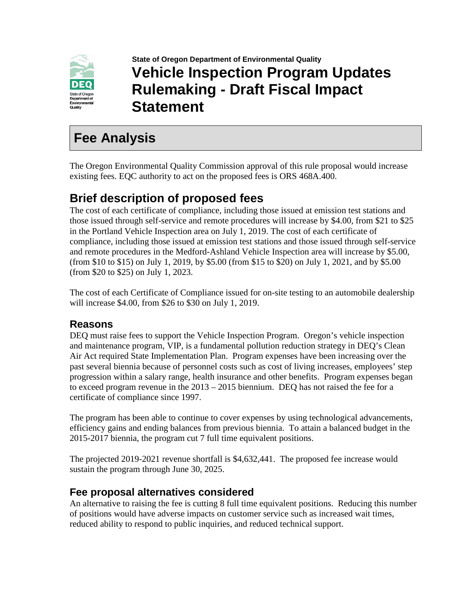

**State of Oregon Department of Environmental Quality Vehicle Inspection Program Updates Rulemaking - Draft Fiscal Impact Statement**

# **Fee Analysis**

The Oregon Environmental Quality Commission approval of this rule proposal would increase existing fees. EQC authority to act on the proposed fees is ORS 468A.400.

## **Brief description of proposed fees**

The cost of each certificate of compliance, including those issued at emission test stations and those issued through self-service and remote procedures will increase by \$4.00, from \$21 to \$25 in the Portland Vehicle Inspection area on July 1, 2019. The cost of each certificate of compliance, including those issued at emission test stations and those issued through self-service and remote procedures in the Medford-Ashland Vehicle Inspection area will increase by \$5.00, (from \$10 to \$15) on July 1, 2019, by \$5.00 (from \$15 to \$20) on July 1, 2021, and by \$5.00 (from \$20 to \$25) on July 1, 2023.

The cost of each Certificate of Compliance issued for on-site testing to an automobile dealership will increase \$4.00, from \$26 to \$30 on July 1, 2019.

### **Reasons**

DEQ must raise fees to support the Vehicle Inspection Program. Oregon's vehicle inspection and maintenance program, VIP, is a fundamental pollution reduction strategy in DEQ's Clean Air Act required State Implementation Plan. Program expenses have been increasing over the past several biennia because of personnel costs such as cost of living increases, employees' step progression within a salary range, health insurance and other benefits. Program expenses began to exceed program revenue in the 2013 – 2015 biennium. DEQ has not raised the fee for a certificate of compliance since 1997.

The program has been able to continue to cover expenses by using technological advancements, efficiency gains and ending balances from previous biennia. To attain a balanced budget in the 2015-2017 biennia, the program cut 7 full time equivalent positions.

The projected 2019-2021 revenue shortfall is \$4,632,441. The proposed fee increase would sustain the program through June 30, 2025.

## **Fee proposal alternatives considered**

An alternative to raising the fee is cutting 8 full time equivalent positions. Reducing this number of positions would have adverse impacts on customer service such as increased wait times, reduced ability to respond to public inquiries, and reduced technical support.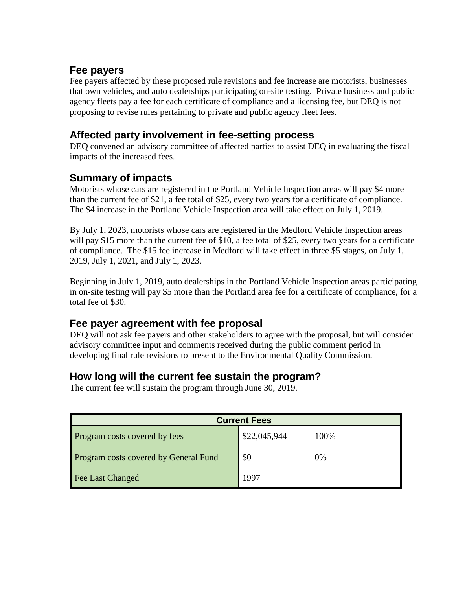### **Fee payers**

Fee payers affected by these proposed rule revisions and fee increase are motorists, businesses that own vehicles, and auto dealerships participating on-site testing. Private business and public agency fleets pay a fee for each certificate of compliance and a licensing fee, but DEQ is not proposing to revise rules pertaining to private and public agency fleet fees.

### **Affected party involvement in fee-setting process**

DEQ convened an advisory committee of affected parties to assist DEQ in evaluating the fiscal impacts of the increased fees.

## **Summary of impacts**

Motorists whose cars are registered in the Portland Vehicle Inspection areas will pay \$4 more than the current fee of \$21, a fee total of \$25, every two years for a certificate of compliance. The \$4 increase in the Portland Vehicle Inspection area will take effect on July 1, 2019.

By July 1, 2023, motorists whose cars are registered in the Medford Vehicle Inspection areas will pay \$15 more than the current fee of \$10, a fee total of \$25, every two years for a certificate of compliance. The \$15 fee increase in Medford will take effect in three \$5 stages, on July 1, 2019, July 1, 2021, and July 1, 2023.

Beginning in July 1, 2019, auto dealerships in the Portland Vehicle Inspection areas participating in on-site testing will pay \$5 more than the Portland area fee for a certificate of compliance, for a total fee of \$30.

## **Fee payer agreement with fee proposal**

DEQ will not ask fee payers and other stakeholders to agree with the proposal, but will consider advisory committee input and comments received during the public comment period in developing final rule revisions to present to the Environmental Quality Commission.

## **How long will the current fee sustain the program?**

The current fee will sustain the program through June 30, 2019.

| <b>Current Fees</b>                          |              |      |  |  |
|----------------------------------------------|--------------|------|--|--|
| Program costs covered by fees                | \$22,045,944 | 100% |  |  |
| <b>Program costs covered by General Fund</b> | \$0          | 0%   |  |  |
| Fee Last Changed                             | 1997         |      |  |  |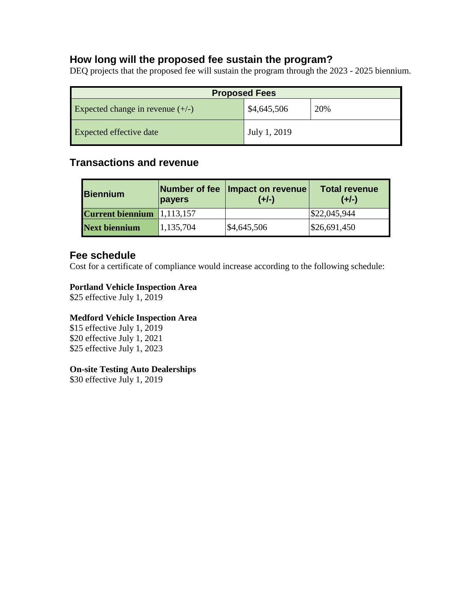### **How long will the proposed fee sustain the program?**

DEQ projects that the proposed fee will sustain the program through the 2023 - 2025 biennium.

| <b>Proposed Fees</b>               |              |     |  |  |  |
|------------------------------------|--------------|-----|--|--|--|
| Expected change in revenue $(+/-)$ | \$4,645,506  | 20% |  |  |  |
| <b>Expected effective date</b>     | July 1, 2019 |     |  |  |  |

## **Transactions and revenue**

| <b>Biennium</b>         | Number of fee<br>payers | Impact on revenue<br>$(+/-)$ | <b>Total revenue</b><br>$(+/-)$ |
|-------------------------|-------------------------|------------------------------|---------------------------------|
| <b>Current biennium</b> | 1,113,157               |                              | \$22,045,944                    |
| <b>Next biennium</b>    | 1,135,704               | \$4,645,506                  | \$26,691,450                    |

### **Fee schedule**

Cost for a certificate of compliance would increase according to the following schedule:

### **Portland Vehicle Inspection Area**

\$25 effective July 1, 2019

### **Medford Vehicle Inspection Area**

\$15 effective July 1, 2019 \$20 effective July 1, 2021 \$25 effective July 1, 2023

#### **On-site Testing Auto Dealerships**

\$30 effective July 1, 2019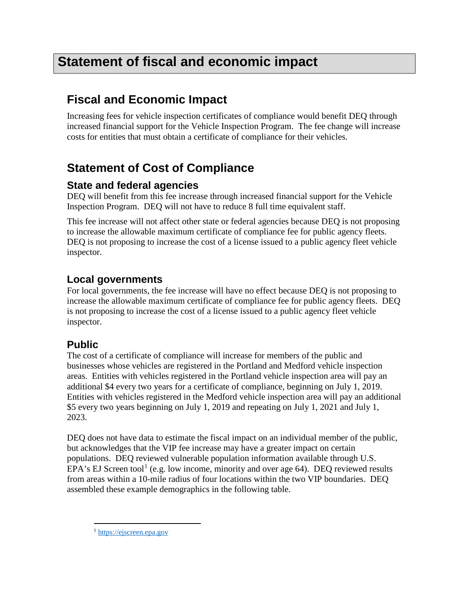# **Statement of fiscal and economic impact**

## **Fiscal and Economic Impact**

Increasing fees for vehicle inspection certificates of compliance would benefit DEQ through increased financial support for the Vehicle Inspection Program. The fee change will increase costs for entities that must obtain a certificate of compliance for their vehicles.

## **Statement of Cost of Compliance**

### **State and federal agencies**

DEQ will benefit from this fee increase through increased financial support for the Vehicle Inspection Program. DEQ will not have to reduce 8 full time equivalent staff.

This fee increase will not affect other state or federal agencies because DEQ is not proposing to increase the allowable maximum certificate of compliance fee for public agency fleets. DEQ is not proposing to increase the cost of a license issued to a public agency fleet vehicle inspector.

## **Local governments**

For local governments, the fee increase will have no effect because DEQ is not proposing to increase the allowable maximum certificate of compliance fee for public agency fleets. DEQ is not proposing to increase the cost of a license issued to a public agency fleet vehicle inspector.

## **Public**

The cost of a certificate of compliance will increase for members of the public and businesses whose vehicles are registered in the Portland and Medford vehicle inspection areas. Entities with vehicles registered in the Portland vehicle inspection area will pay an additional \$4 every two years for a certificate of compliance, beginning on July 1, 2019. Entities with vehicles registered in the Medford vehicle inspection area will pay an additional \$5 every two years beginning on July 1, 2019 and repeating on July 1, 2021 and July 1, 2023.

DEQ does not have data to estimate the fiscal impact on an individual member of the public, but acknowledges that the VIP fee increase may have a greater impact on certain populations. DEQ reviewed vulnerable population information available through U.S. EPA's EJ Screen tool<sup>[1](#page-3-0)</sup> (e.g. low income, minority and over age 64). DEQ reviewed results from areas within a 10-mile radius of four locations within the two VIP boundaries. DEQ assembled these example demographics in the following table.

<span id="page-3-0"></span> <sup>1</sup> [https://ejscreen.epa.gov](https://ejscreen.epa.gov/)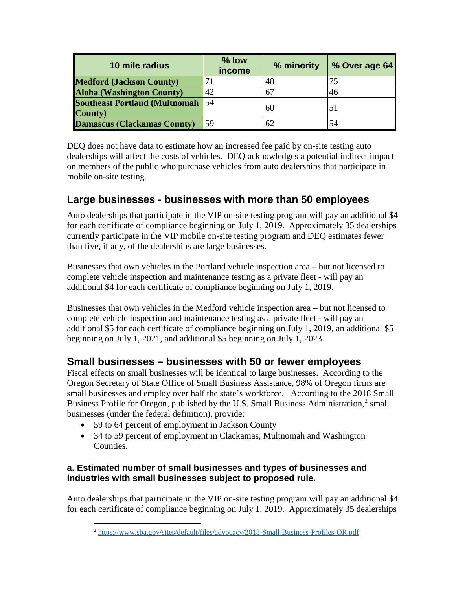| 10 mile radius                                      | % low<br>income | % minority | % Over age 64 |
|-----------------------------------------------------|-----------------|------------|---------------|
| <b>Medford (Jackson County)</b>                     |                 |            |               |
| <b>Aloha (Washington County)</b>                    | 42              |            | 46            |
| <b>Southeast Portland (Multnomah 54)</b><br>County) |                 | 60         | 51            |
| <b>Damascus (Clackamas County)</b>                  | 59              | 62         | 54            |

DEQ does not have data to estimate how an increased fee paid by on-site testing auto dealerships will affect the costs of vehicles. DEQ acknowledges a potential indirect impact on members of the public who purchase vehicles from auto dealerships that participate in mobile on-site testing.

## **Large businesses - businesses with more than 50 employees**

Auto dealerships that participate in the VIP on-site testing program will pay an additional \$4 for each certificate of compliance beginning on July 1, 2019. Approximately 35 dealerships currently participate in the VIP mobile on-site testing program and DEQ estimates fewer than five, if any, of the dealerships are large businesses.

Businesses that own vehicles in the Portland vehicle inspection area – but not licensed to complete vehicle inspection and maintenance testing as a private fleet - will pay an additional \$4 for each certificate of compliance beginning on July 1, 2019.

Businesses that own vehicles in the Medford vehicle inspection area – but not licensed to complete vehicle inspection and maintenance testing as a private fleet - will pay an additional \$5 for each certificate of compliance beginning on July 1, 2019, an additional \$5 beginning on July 1, 2021, and additional \$5 beginning on July 1, 2023.

### **Small businesses – businesses with 50 or fewer employees**

Fiscal effects on small businesses will be identical to large businesses. According to the Oregon Secretary of State Office of Small Business Assistance, 98% of Oregon firms are small businesses and employ over half the state's workforce. According to the 2018 Small Business Profile for Oregon, published by the U.S. Small Business Administration,<sup>[2](#page-4-0)</sup> small businesses (under the federal definition), provide:

- 59 to 64 percent of employment in Jackson County
- 34 to 59 percent of employment in Clackamas, Multnomah and Washington Counties.

### **a. Estimated number of small businesses and types of businesses and industries with small businesses subject to proposed rule.**

<span id="page-4-0"></span>Auto dealerships that participate in the VIP on-site testing program will pay an additional \$4 for each certificate of compliance beginning on July 1, 2019. Approximately 35 dealerships

 <sup>2</sup> <https://www.sba.gov/sites/default/files/advocacy/2018-Small-Business-Profiles-OR.pdf>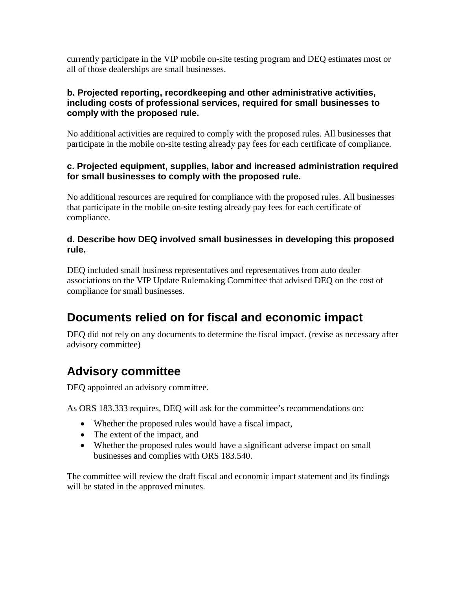currently participate in the VIP mobile on-site testing program and DEQ estimates most or all of those dealerships are small businesses.

#### **b. Projected reporting, recordkeeping and other administrative activities, including costs of professional services, required for small businesses to comply with the proposed rule.**

No additional activities are required to comply with the proposed rules. All businesses that participate in the mobile on-site testing already pay fees for each certificate of compliance.

#### **c. Projected equipment, supplies, labor and increased administration required for small businesses to comply with the proposed rule.**

No additional resources are required for compliance with the proposed rules. All businesses that participate in the mobile on-site testing already pay fees for each certificate of compliance.

#### **d. Describe how DEQ involved small businesses in developing this proposed rule.**

DEQ included small business representatives and representatives from auto dealer associations on the VIP Update Rulemaking Committee that advised DEQ on the cost of compliance for small businesses.

## **Documents relied on for fiscal and economic impact**

DEQ did not rely on any documents to determine the fiscal impact. (revise as necessary after advisory committee)

## **Advisory committee**

DEQ appointed an advisory committee.

As ORS 183.333 requires, DEQ will ask for the committee's recommendations on:

- Whether the proposed rules would have a fiscal impact,
- The extent of the impact, and
- Whether the proposed rules would have a significant adverse impact on small businesses and complies with ORS 183.540.

The committee will review the draft fiscal and economic impact statement and its findings will be stated in the approved minutes.